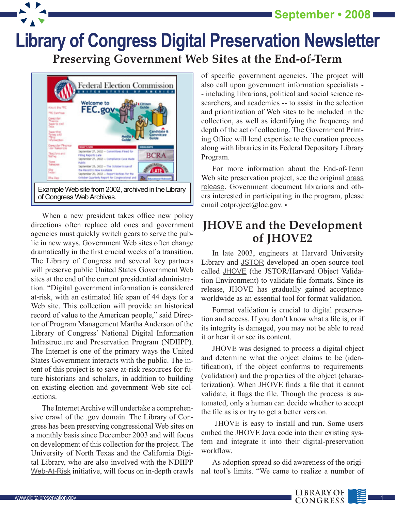**September • 2008**

## **Library of Congress Digital Preservation Newsletter [Preserving Government Web Sites at the End-of-Term](http://www.digitalpreservation.gov/news/2008/20080902news_article_endofterm.html)**



When a new president takes office new policy directions often replace old ones and government agencies must quickly switch gears to serve the public in new ways. Government Web sites often change dramatically in the first crucial weeks of a transition. The Library of Congress and several key partners will preserve public United States Government Web sites at the end of the current presidential administration. "Digital government information is considered at-risk, with an estimated life span of 44 days for a Web site. This collection will provide an historical record of value to the American people," said Director of Program Management Martha Anderson of the Library of Congress' National Digital Information Infrastructure and Preservation Program (NDIIPP). The Internet is one of the primary ways the United States Government interacts with the public. The intent of this project is to save at-risk resources for future historians and scholars, in addition to building on existing election and government Web site collections.

The Internet Archive will undertake a comprehensive crawl of the .gov domain. The Library of Congress has been preserving congressional Web sites on a monthly basis since December 2003 and will focus on development of this collection for the project. The University of North Texas and the California Digital Library, who are also involved with the NDIIPP [Web-At-Risk](http://www.digitalpreservation.gov/partners/web-at-risk/web-at-risk.html) initiative, will focus on in-depth crawls of specific government agencies. The project will also call upon government information specialists - - including librarians, political and social science researchers, and academics -- to assist in the selection and prioritization of Web sites to be included in the collection, as well as identifying the frequency and depth of the act of collecting. The Government Printing Office will lend expertise to the curation process along with libraries in its Federal Depository Library Program.

For more information about the End-of-Term Web site preservation project, see the original press [release](http://www.loc.gov/today/pr/2008/08-139.html). Government document librarians and others interested in participating in the program, please email eotproject@loc.gov.

## **[JHOVE and the Development](http://www.digitalpreservation.gov/news/2008/20080902news_article_JHOVE2.html)  of JHOVE2**

In late 2003, engineers at Harvard University Library and [JSTOR](http://www.jstor.org) developed an open-source tool called [JHOVE](http://hul.harvard.edu/jhove) (the JSTOR/Harvard Object Validation Environment) to validate file formats. Since its release, JHOVE has gradually gained acceptance worldwide as an essential tool for format validation.

Format validation is crucial to digital preservation and access. If you don't know what a file is, or if its integrity is damaged, you may not be able to read it or hear it or see its content.

JHOVE was designed to process a digital object and determine what the object claims to be (identification), if the object conforms to requirements (validation) and the properties of the object (characterization). When JHOVE finds a file that it cannot validate, it flags the file. Though the process is automated, only a human can decide whether to accept the file as is or try to get a better version.

 JHOVE is easy to install and run. Some users embed the JHOVE Java code into their existing system and integrate it into their digital-preservation workflow.

As adoption spread so did awareness of the original tool's limits. "We came to realize a number of

 $\overline{1}$